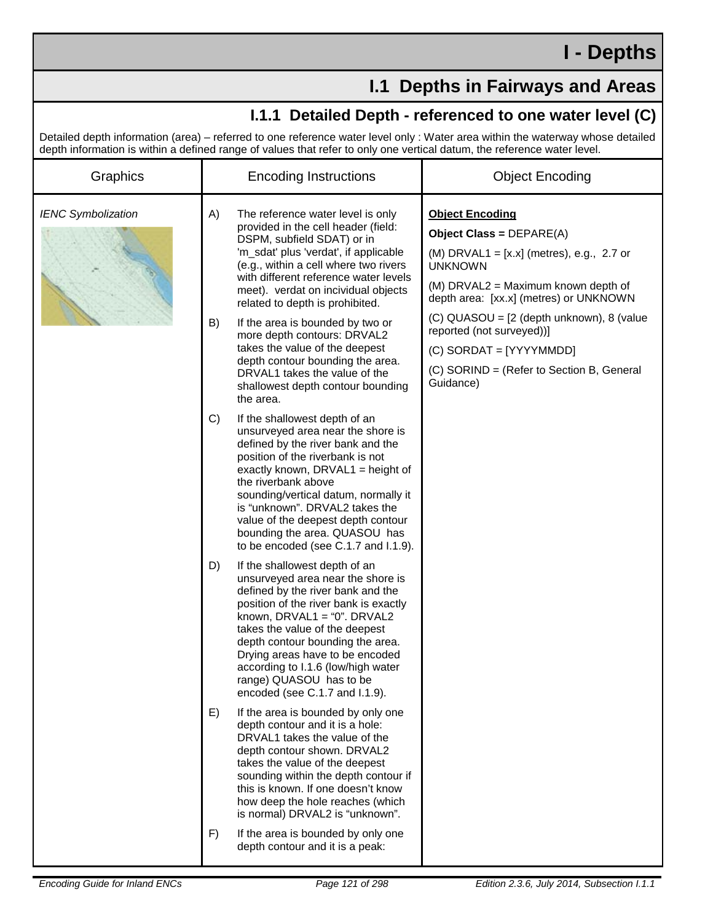## **I.1 Depths in Fairways and Areas**

## **I.1.1 Detailed Depth - referenced to one water level (C)**

Detailed depth information (area) – referred to one reference water level only : Water area within the waterway whose detailed depth information is within a defined range of values that refer to only one vertical datum, the reference water level.

| Graphics                  | ucpur information is within a uchnicu range or values that refer to only one vehical uatum, the reference water level.<br><b>Encoding Instructions</b>                                                                                                                                                                                                                                                 | <b>Object Encoding</b>                                                                                                                                                                                 |
|---------------------------|--------------------------------------------------------------------------------------------------------------------------------------------------------------------------------------------------------------------------------------------------------------------------------------------------------------------------------------------------------------------------------------------------------|--------------------------------------------------------------------------------------------------------------------------------------------------------------------------------------------------------|
| <b>IENC Symbolization</b> | A)<br>The reference water level is only<br>provided in the cell header (field:<br>DSPM, subfield SDAT) or in<br>'m_sdat' plus 'verdat', if applicable<br>(e.g., within a cell where two rivers<br>with different reference water levels<br>meet). verdat on incividual objects<br>related to depth is prohibited.                                                                                      | <b>Object Encoding</b><br>Object Class = $DEPARE(A)$<br>(M) DRVAL1 = $[x.x]$ (metres), e.g., 2.7 or<br><b>UNKNOWN</b><br>(M) DRVAL2 = Maximum known depth of<br>depth area: [xx.x] (metres) or UNKNOWN |
|                           | B)<br>If the area is bounded by two or<br>more depth contours: DRVAL2<br>takes the value of the deepest<br>depth contour bounding the area.<br>DRVAL1 takes the value of the<br>shallowest depth contour bounding<br>the area.                                                                                                                                                                         | (C) QUASOU = [2 (depth unknown), 8 (value<br>reported (not surveyed))]<br>(C) SORDAT = [YYYYMMDD]<br>(C) SORIND = (Refer to Section B, General<br>Guidance)                                            |
|                           | C)<br>If the shallowest depth of an<br>unsurveyed area near the shore is<br>defined by the river bank and the<br>position of the riverbank is not<br>exactly known, DRVAL1 = height of<br>the riverbank above<br>sounding/vertical datum, normally it<br>is "unknown". DRVAL2 takes the<br>value of the deepest depth contour<br>bounding the area. QUASOU has<br>to be encoded (see C.1.7 and I.1.9). |                                                                                                                                                                                                        |
|                           | If the shallowest depth of an<br>D)<br>unsurveyed area near the shore is<br>defined by the river bank and the<br>position of the river bank is exactly<br>known, DRVAL1 = "0". DRVAL2<br>takes the value of the deepest<br>depth contour bounding the area.<br>Drying areas have to be encoded<br>according to I.1.6 (low/high water<br>range) QUASOU has to be<br>encoded (see C.1.7 and I.1.9).      |                                                                                                                                                                                                        |
|                           | E)<br>If the area is bounded by only one<br>depth contour and it is a hole:<br>DRVAL1 takes the value of the<br>depth contour shown. DRVAL2<br>takes the value of the deepest<br>sounding within the depth contour if<br>this is known. If one doesn't know<br>how deep the hole reaches (which<br>is normal) DRVAL2 is "unknown".<br>If the area is bounded by only one<br>F)                         |                                                                                                                                                                                                        |
|                           | depth contour and it is a peak:                                                                                                                                                                                                                                                                                                                                                                        |                                                                                                                                                                                                        |